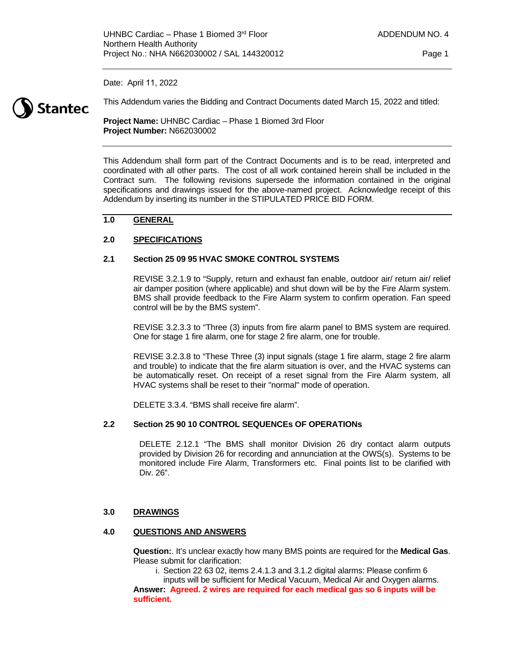Date: April 11, 2022



This Addendum varies the Bidding and Contract Documents dated March 15, 2022 and titled:

**Project Name:** UHNBC Cardiac – Phase 1 Biomed 3rd Floor **Project Number:** N662030002

This Addendum shall form part of the Contract Documents and is to be read, interpreted and coordinated with all other parts. The cost of all work contained herein shall be included in the Contract sum. The following revisions supersede the information contained in the original specifications and drawings issued for the above-named project. Acknowledge receipt of this Addendum by inserting its number in the STIPULATED PRICE BID FORM.

# **1.0 GENERAL**

# **2.0 SPECIFICATIONS**

### **2.1 Section 25 09 95 HVAC SMOKE CONTROL SYSTEMS**

REVISE 3.2.1.9 to "Supply, return and exhaust fan enable, outdoor air/ return air/ relief air damper position (where applicable) and shut down will be by the Fire Alarm system. BMS shall provide feedback to the Fire Alarm system to confirm operation. Fan speed control will be by the BMS system".

REVISE 3.2.3.3 to "Three (3) inputs from fire alarm panel to BMS system are required. One for stage 1 fire alarm, one for stage 2 fire alarm, one for trouble.

REVISE 3.2.3.8 to "These Three (3) input signals (stage 1 fire alarm, stage 2 fire alarm and trouble) to indicate that the fire alarm situation is over, and the HVAC systems can be automatically reset. On receipt of a reset signal from the Fire Alarm system, all HVAC systems shall be reset to their "normal" mode of operation.

DELETE 3.3.4. "BMS shall receive fire alarm".

### **2.2 Section 25 90 10 CONTROL SEQUENCEs OF OPERATIONs**

DELETE 2.12.1 "The BMS shall monitor Division 26 dry contact alarm outputs provided by Division 26 for recording and annunciation at the OWS(s). Systems to be monitored include Fire Alarm, Transformers etc. Final points list to be clarified with Div. 26".

### **3.0 DRAWINGS**

### **4.0 QUESTIONS AND ANSWERS**

**Question:**. It's unclear exactly how many BMS points are required for the **Medical Gas**. Please submit for clarification:

i. Section 22 63 02, items 2.4.1.3 and 3.1.2 digital alarms: Please confirm 6

inputs will be sufficient for Medical Vacuum, Medical Air and Oxygen alarms. **Answer: Agreed. 2 wires are required for each medical gas so 6 inputs will be sufficient.**